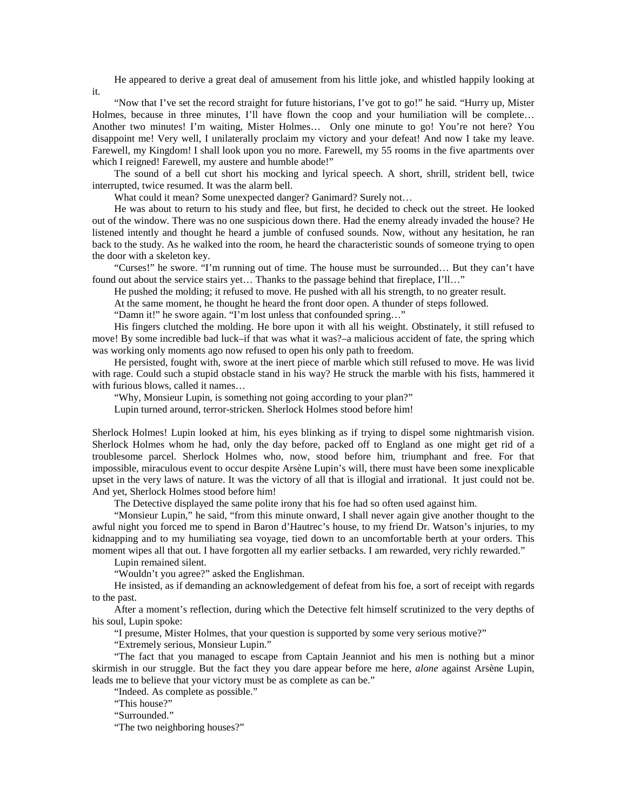He appeared to derive a great deal of amusement from his little joke, and whistled happily looking at

it.

"Now that I've set the record straight for future historians, I've got to go!" he said. "Hurry up, Mister Holmes, because in three minutes, I'll have flown the coop and your humiliation will be complete… Another two minutes! I'm waiting, Mister Holmes… Only one minute to go! You're not here? You disappoint me! Very well, I unilaterally proclaim my victory and your defeat! And now I take my leave. Farewell, my Kingdom! I shall look upon you no more. Farewell, my 55 rooms in the five apartments over which I reigned! Farewell, my austere and humble abode!"

The sound of a bell cut short his mocking and lyrical speech. A short, shrill, strident bell, twice interrupted, twice resumed. It was the alarm bell.

What could it mean? Some unexpected danger? Ganimard? Surely not…

He was about to return to his study and flee, but first, he decided to check out the street. He looked out of the window. There was no one suspicious down there. Had the enemy already invaded the house? He listened intently and thought he heard a jumble of confused sounds. Now, without any hesitation, he ran back to the study. As he walked into the room, he heard the characteristic sounds of someone trying to open the door with a skeleton key.

"Curses!" he swore. "I'm running out of time. The house must be surrounded… But they can't have found out about the service stairs yet... Thanks to the passage behind that fireplace, I'll..."

He pushed the molding; it refused to move. He pushed with all his strength, to no greater result.

At the same moment, he thought he heard the front door open. A thunder of steps followed.

"Damn it!" he swore again. "I'm lost unless that confounded spring…"

His fingers clutched the molding. He bore upon it with all his weight. Obstinately, it still refused to move! By some incredible bad luck–if that was what it was?–a malicious accident of fate, the spring which was working only moments ago now refused to open his only path to freedom.

He persisted, fought with, swore at the inert piece of marble which still refused to move. He was livid with rage. Could such a stupid obstacle stand in his way? He struck the marble with his fists, hammered it with furious blows, called it names…

"Why, Monsieur Lupin, is something not going according to your plan?"

Lupin turned around, terror-stricken. Sherlock Holmes stood before him!

Sherlock Holmes! Lupin looked at him, his eyes blinking as if trying to dispel some nightmarish vision. Sherlock Holmes whom he had, only the day before, packed off to England as one might get rid of a troublesome parcel. Sherlock Holmes who, now, stood before him, triumphant and free. For that impossible, miraculous event to occur despite Arsène Lupin's will, there must have been some inexplicable upset in the very laws of nature. It was the victory of all that is illogial and irrational. It just could not be. And yet, Sherlock Holmes stood before him!

The Detective displayed the same polite irony that his foe had so often used against him.

"Monsieur Lupin," he said, "from this minute onward, I shall never again give another thought to the awful night you forced me to spend in Baron d'Hautrec's house, to my friend Dr. Watson's injuries, to my kidnapping and to my humiliating sea voyage, tied down to an uncomfortable berth at your orders. This moment wipes all that out. I have forgotten all my earlier setbacks. I am rewarded, very richly rewarded."

Lupin remained silent.

"Wouldn't you agree?" asked the Englishman.

He insisted, as if demanding an acknowledgement of defeat from his foe, a sort of receipt with regards to the past.

After a moment's reflection, during which the Detective felt himself scrutinized to the very depths of his soul, Lupin spoke:

"I presume, Mister Holmes, that your question is supported by some very serious motive?"

"Extremely serious, Monsieur Lupin."

"The fact that you managed to escape from Captain Jeanniot and his men is nothing but a minor skirmish in our struggle. But the fact they you dare appear before me here, *alone* against Arsène Lupin, leads me to believe that your victory must be as complete as can be."

"Indeed. As complete as possible."

"This house?"

"Surrounded."

"The two neighboring houses?"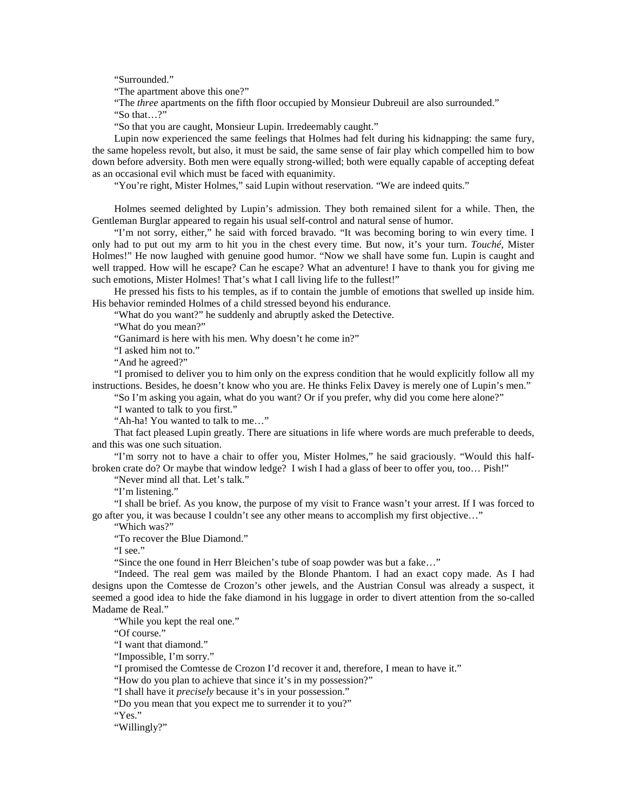"Surrounded."

"The apartment above this one?"

"The *three* apartments on the fifth floor occupied by Monsieur Dubreuil are also surrounded."

"So that…?"

"So that you are caught, Monsieur Lupin. Irredeemably caught."

Lupin now experienced the same feelings that Holmes had felt during his kidnapping: the same fury, the same hopeless revolt, but also, it must be said, the same sense of fair play which compelled him to bow down before adversity. Both men were equally strong-willed; both were equally capable of accepting defeat as an occasional evil which must be faced with equanimity.

"You're right, Mister Holmes," said Lupin without reservation. "We are indeed quits."

Holmes seemed delighted by Lupin's admission. They both remained silent for a while. Then, the Gentleman Burglar appeared to regain his usual self-control and natural sense of humor.

"I'm not sorry, either," he said with forced bravado. "It was becoming boring to win every time. I only had to put out my arm to hit you in the chest every time. But now, it's your turn. *Touché*, Mister Holmes!" He now laughed with genuine good humor. "Now we shall have some fun. Lupin is caught and well trapped. How will he escape? Can he escape? What an adventure! I have to thank you for giving me such emotions, Mister Holmes! That's what I call living life to the fullest!"

He pressed his fists to his temples, as if to contain the jumble of emotions that swelled up inside him. His behavior reminded Holmes of a child stressed beyond his endurance.

"What do you want?" he suddenly and abruptly asked the Detective.

"What do you mean?"

"Ganimard is here with his men. Why doesn't he come in?"

"I asked him not to."

"And he agreed?"

"I promised to deliver you to him only on the express condition that he would explicitly follow all my instructions. Besides, he doesn't know who you are. He thinks Felix Davey is merely one of Lupin's men."

"So I'm asking you again, what do you want? Or if you prefer, why did you come here alone?"

"I wanted to talk to you first."

"Ah-ha! You wanted to talk to me…"

That fact pleased Lupin greatly. There are situations in life where words are much preferable to deeds, and this was one such situation.

"I'm sorry not to have a chair to offer you, Mister Holmes," he said graciously. "Would this halfbroken crate do? Or maybe that window ledge? I wish I had a glass of beer to offer you, too… Pish!"

"Never mind all that. Let's talk."

"I'm listening."

"I shall be brief. As you know, the purpose of my visit to France wasn't your arrest. If I was forced to go after you, it was because I couldn't see any other means to accomplish my first objective…"

"Which was?"

"To recover the Blue Diamond."

"I see."

"Since the one found in Herr Bleichen's tube of soap powder was but a fake…"

"Indeed. The real gem was mailed by the Blonde Phantom. I had an exact copy made. As I had designs upon the Comtesse de Crozon's other jewels, and the Austrian Consul was already a suspect, it seemed a good idea to hide the fake diamond in his luggage in order to divert attention from the so-called Madame de Real."

"While you kept the real one."

"Of course."

"I want that diamond."

"Impossible, I'm sorry."

"I promised the Comtesse de Crozon I'd recover it and, therefore, I mean to have it."

"How do you plan to achieve that since it's in my possession?"

"I shall have it *precisely* because it's in your possession."

"Do you mean that you expect me to surrender it to you?"

"Yes."

"Willingly?"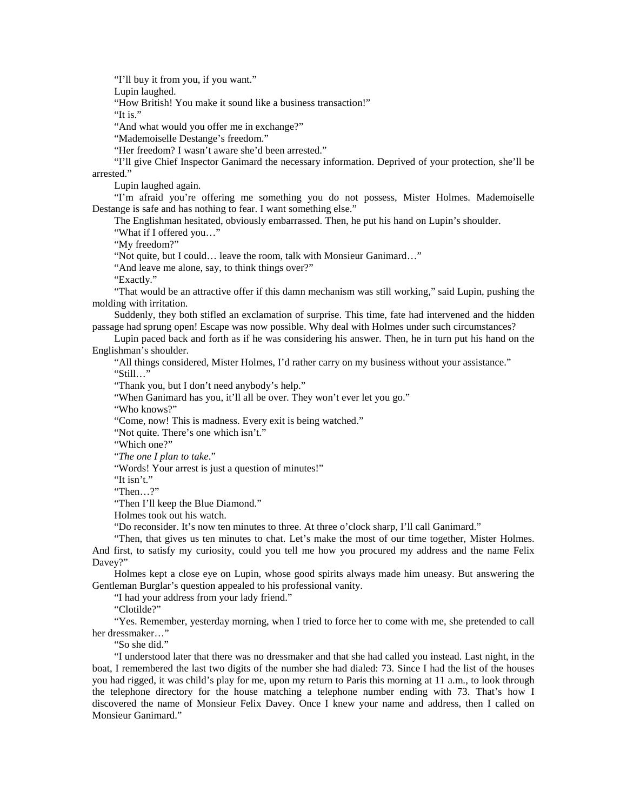"I'll buy it from you, if you want."

Lupin laughed.

"How British! You make it sound like a business transaction!"

"It is."

"And what would you offer me in exchange?"

"Mademoiselle Destange's freedom."

"Her freedom? I wasn't aware she'd been arrested."

"I'll give Chief Inspector Ganimard the necessary information. Deprived of your protection, she'll be arrested."

Lupin laughed again.

"I'm afraid you're offering me something you do not possess, Mister Holmes. Mademoiselle Destange is safe and has nothing to fear. I want something else."

The Englishman hesitated, obviously embarrassed. Then, he put his hand on Lupin's shoulder.

"What if I offered you…"

"My freedom?"

"Not quite, but I could… leave the room, talk with Monsieur Ganimard…"

"And leave me alone, say, to think things over?"

"Exactly."

"That would be an attractive offer if this damn mechanism was still working," said Lupin, pushing the molding with irritation.

Suddenly, they both stifled an exclamation of surprise. This time, fate had intervened and the hidden passage had sprung open! Escape was now possible. Why deal with Holmes under such circumstances?

Lupin paced back and forth as if he was considering his answer. Then, he in turn put his hand on the Englishman's shoulder.

"All things considered, Mister Holmes, I'd rather carry on my business without your assistance."

"Still…"

"Thank you, but I don't need anybody's help."

"When Ganimard has you, it'll all be over. They won't ever let you go."

"Who knows?"

"Come, now! This is madness. Every exit is being watched."

"Not quite. There's one which isn't."

"Which one?"

"*The one I plan to take*."

"Words! Your arrest is just a question of minutes!"

"It isn't."

"Then…?"

"Then I'll keep the Blue Diamond."

Holmes took out his watch.

"Do reconsider. It's now ten minutes to three. At three o'clock sharp, I'll call Ganimard."

"Then, that gives us ten minutes to chat. Let's make the most of our time together, Mister Holmes. And first, to satisfy my curiosity, could you tell me how you procured my address and the name Felix Davey?"

Holmes kept a close eye on Lupin, whose good spirits always made him uneasy. But answering the Gentleman Burglar's question appealed to his professional vanity.

"I had your address from your lady friend."

"Clotilde?"

"Yes. Remember, yesterday morning, when I tried to force her to come with me, she pretended to call her dressmaker…"

"So she did."

"I understood later that there was no dressmaker and that she had called you instead. Last night, in the boat, I remembered the last two digits of the number she had dialed: 73. Since I had the list of the houses you had rigged, it was child's play for me, upon my return to Paris this morning at 11 a.m., to look through the telephone directory for the house matching a telephone number ending with 73. That's how I discovered the name of Monsieur Felix Davey. Once I knew your name and address, then I called on Monsieur Ganimard."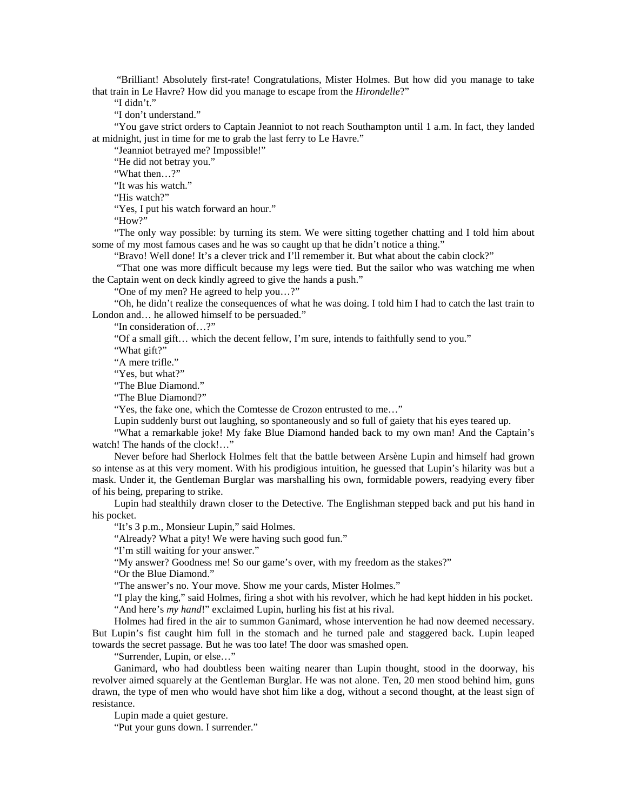"Brilliant! Absolutely first-rate! Congratulations, Mister Holmes. But how did you manage to take that train in Le Havre? How did you manage to escape from the *Hirondelle*?"

"I didn't."

"I don't understand."

"You gave strict orders to Captain Jeanniot to not reach Southampton until 1 a.m. In fact, they landed at midnight, just in time for me to grab the last ferry to Le Havre."

"Jeanniot betrayed me? Impossible!"

"He did not betray you."

"What then…?"

"It was his watch."

"His watch?"

"Yes, I put his watch forward an hour."

"How?"

"The only way possible: by turning its stem. We were sitting together chatting and I told him about some of my most famous cases and he was so caught up that he didn't notice a thing."

"Bravo! Well done! It's a clever trick and I'll remember it. But what about the cabin clock?"

 "That one was more difficult because my legs were tied. But the sailor who was watching me when the Captain went on deck kindly agreed to give the hands a push."

"One of my men? He agreed to help you…?"

"Oh, he didn't realize the consequences of what he was doing. I told him I had to catch the last train to London and… he allowed himself to be persuaded."

"In consideration of…?"

"Of a small gift… which the decent fellow, I'm sure, intends to faithfully send to you."

"What gift?"

"A mere trifle."

"Yes, but what?"

"The Blue Diamond."

"The Blue Diamond?"

"Yes, the fake one, which the Comtesse de Crozon entrusted to me…"

Lupin suddenly burst out laughing, so spontaneously and so full of gaiety that his eyes teared up.

"What a remarkable joke! My fake Blue Diamond handed back to my own man! And the Captain's watch! The hands of the clock!..."

Never before had Sherlock Holmes felt that the battle between Arsène Lupin and himself had grown so intense as at this very moment. With his prodigious intuition, he guessed that Lupin's hilarity was but a mask. Under it, the Gentleman Burglar was marshalling his own, formidable powers, readying every fiber of his being, preparing to strike.

Lupin had stealthily drawn closer to the Detective. The Englishman stepped back and put his hand in his pocket.

"It's 3 p.m., Monsieur Lupin," said Holmes.

"Already? What a pity! We were having such good fun."

"I'm still waiting for your answer."

"My answer? Goodness me! So our game's over, with my freedom as the stakes?"

"Or the Blue Diamond."

"The answer's no. Your move. Show me your cards, Mister Holmes."

"I play the king," said Holmes, firing a shot with his revolver, which he had kept hidden in his pocket. "And here's *my hand*!" exclaimed Lupin, hurling his fist at his rival.

Holmes had fired in the air to summon Ganimard, whose intervention he had now deemed necessary. But Lupin's fist caught him full in the stomach and he turned pale and staggered back. Lupin leaped towards the secret passage. But he was too late! The door was smashed open.

"Surrender, Lupin, or else…"

Ganimard, who had doubtless been waiting nearer than Lupin thought, stood in the doorway, his revolver aimed squarely at the Gentleman Burglar. He was not alone. Ten, 20 men stood behind him, guns drawn, the type of men who would have shot him like a dog, without a second thought, at the least sign of resistance.

Lupin made a quiet gesture.

"Put your guns down. I surrender."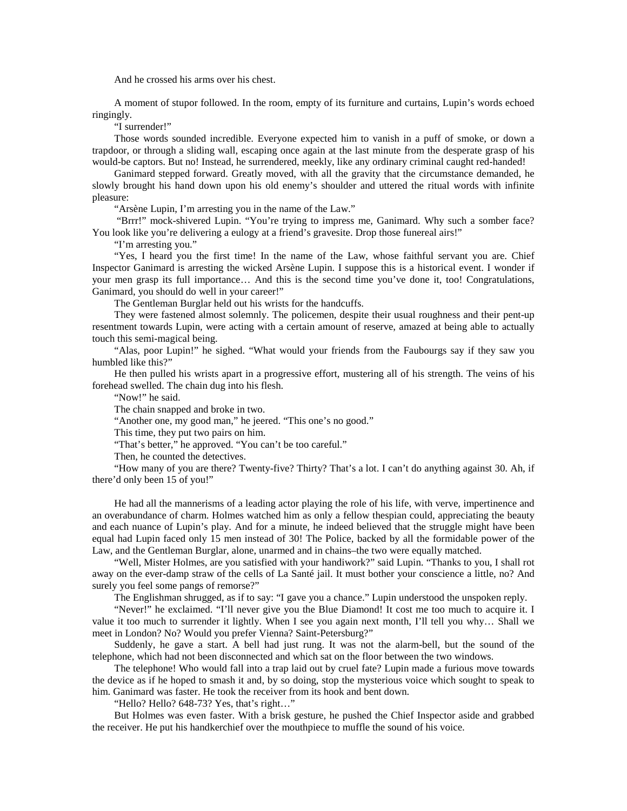And he crossed his arms over his chest.

A moment of stupor followed. In the room, empty of its furniture and curtains, Lupin's words echoed ringingly.

"I surrender!"

Those words sounded incredible. Everyone expected him to vanish in a puff of smoke, or down a trapdoor, or through a sliding wall, escaping once again at the last minute from the desperate grasp of his would-be captors. But no! Instead, he surrendered, meekly, like any ordinary criminal caught red-handed!

Ganimard stepped forward. Greatly moved, with all the gravity that the circumstance demanded, he slowly brought his hand down upon his old enemy's shoulder and uttered the ritual words with infinite pleasure:

"Arsène Lupin, I'm arresting you in the name of the Law."

 "Brrr!" mock-shivered Lupin. "You're trying to impress me, Ganimard. Why such a somber face? You look like you're delivering a eulogy at a friend's gravesite. Drop those funereal airs!"

"I'm arresting you."

"Yes, I heard you the first time! In the name of the Law, whose faithful servant you are. Chief Inspector Ganimard is arresting the wicked Arsène Lupin. I suppose this is a historical event. I wonder if your men grasp its full importance… And this is the second time you've done it, too! Congratulations, Ganimard, you should do well in your career!"

The Gentleman Burglar held out his wrists for the handcuffs.

They were fastened almost solemnly. The policemen, despite their usual roughness and their pent-up resentment towards Lupin, were acting with a certain amount of reserve, amazed at being able to actually touch this semi-magical being.

"Alas, poor Lupin!" he sighed. "What would your friends from the Faubourgs say if they saw you humbled like this?"

He then pulled his wrists apart in a progressive effort, mustering all of his strength. The veins of his forehead swelled. The chain dug into his flesh.

"Now!" he said.

The chain snapped and broke in two.

"Another one, my good man," he jeered. "This one's no good."

This time, they put two pairs on him.

"That's better," he approved. "You can't be too careful."

Then, he counted the detectives.

"How many of you are there? Twenty-five? Thirty? That's a lot. I can't do anything against 30. Ah, if there'd only been 15 of you!"

He had all the mannerisms of a leading actor playing the role of his life, with verve, impertinence and an overabundance of charm. Holmes watched him as only a fellow thespian could, appreciating the beauty and each nuance of Lupin's play. And for a minute, he indeed believed that the struggle might have been equal had Lupin faced only 15 men instead of 30! The Police, backed by all the formidable power of the Law, and the Gentleman Burglar, alone, unarmed and in chains–the two were equally matched.

"Well, Mister Holmes, are you satisfied with your handiwork?" said Lupin. "Thanks to you, I shall rot away on the ever-damp straw of the cells of La Santé jail. It must bother your conscience a little, no? And surely you feel some pangs of remorse?"

The Englishman shrugged, as if to say: "I gave you a chance." Lupin understood the unspoken reply.

"Never!" he exclaimed. "I'll never give you the Blue Diamond! It cost me too much to acquire it. I value it too much to surrender it lightly. When I see you again next month, I'll tell you why… Shall we meet in London? No? Would you prefer Vienna? Saint-Petersburg?"

Suddenly, he gave a start. A bell had just rung. It was not the alarm-bell, but the sound of the telephone, which had not been disconnected and which sat on the floor between the two windows.

The telephone! Who would fall into a trap laid out by cruel fate? Lupin made a furious move towards the device as if he hoped to smash it and, by so doing, stop the mysterious voice which sought to speak to him. Ganimard was faster. He took the receiver from its hook and bent down.

"Hello? Hello? 648-73? Yes, that's right…"

But Holmes was even faster. With a brisk gesture, he pushed the Chief Inspector aside and grabbed the receiver. He put his handkerchief over the mouthpiece to muffle the sound of his voice.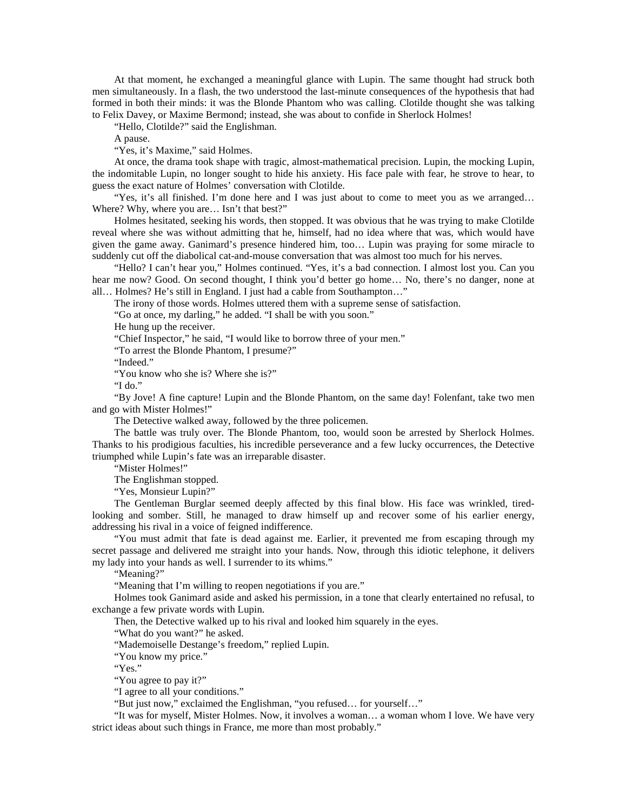At that moment, he exchanged a meaningful glance with Lupin. The same thought had struck both men simultaneously. In a flash, the two understood the last-minute consequences of the hypothesis that had formed in both their minds: it was the Blonde Phantom who was calling. Clotilde thought she was talking to Felix Davey, or Maxime Bermond; instead, she was about to confide in Sherlock Holmes!

"Hello, Clotilde?" said the Englishman.

A pause.

"Yes, it's Maxime," said Holmes.

At once, the drama took shape with tragic, almost-mathematical precision. Lupin, the mocking Lupin, the indomitable Lupin, no longer sought to hide his anxiety. His face pale with fear, he strove to hear, to guess the exact nature of Holmes' conversation with Clotilde.

"Yes, it's all finished. I'm done here and I was just about to come to meet you as we arranged… Where? Why, where you are... Isn't that best?"

Holmes hesitated, seeking his words, then stopped. It was obvious that he was trying to make Clotilde reveal where she was without admitting that he, himself, had no idea where that was, which would have given the game away. Ganimard's presence hindered him, too… Lupin was praying for some miracle to suddenly cut off the diabolical cat-and-mouse conversation that was almost too much for his nerves.

"Hello? I can't hear you," Holmes continued. "Yes, it's a bad connection. I almost lost you. Can you hear me now? Good. On second thought, I think you'd better go home… No, there's no danger, none at all… Holmes? He's still in England. I just had a cable from Southampton…"

The irony of those words. Holmes uttered them with a supreme sense of satisfaction.

"Go at once, my darling," he added. "I shall be with you soon."

He hung up the receiver.

"Chief Inspector," he said, "I would like to borrow three of your men."

"To arrest the Blonde Phantom, I presume?"

"Indeed."

"You know who she is? Where she is?"

"I do."

"By Jove! A fine capture! Lupin and the Blonde Phantom, on the same day! Folenfant, take two men and go with Mister Holmes!"

The Detective walked away, followed by the three policemen.

The battle was truly over. The Blonde Phantom, too, would soon be arrested by Sherlock Holmes. Thanks to his prodigious faculties, his incredible perseverance and a few lucky occurrences, the Detective triumphed while Lupin's fate was an irreparable disaster.

"Mister Holmes!"

The Englishman stopped.

"Yes, Monsieur Lupin?"

The Gentleman Burglar seemed deeply affected by this final blow. His face was wrinkled, tiredlooking and somber. Still, he managed to draw himself up and recover some of his earlier energy, addressing his rival in a voice of feigned indifference.

"You must admit that fate is dead against me. Earlier, it prevented me from escaping through my secret passage and delivered me straight into your hands. Now, through this idiotic telephone, it delivers my lady into your hands as well. I surrender to its whims."

"Meaning?"

"Meaning that I'm willing to reopen negotiations if you are."

Holmes took Ganimard aside and asked his permission, in a tone that clearly entertained no refusal, to exchange a few private words with Lupin.

Then, the Detective walked up to his rival and looked him squarely in the eyes.

"What do you want?" he asked.

"Mademoiselle Destange's freedom," replied Lupin.

"You know my price."

"Yes."

"You agree to pay it?"

"I agree to all your conditions."

"But just now," exclaimed the Englishman, "you refused… for yourself…"

"It was for myself, Mister Holmes. Now, it involves a woman… a woman whom I love. We have very strict ideas about such things in France, me more than most probably."